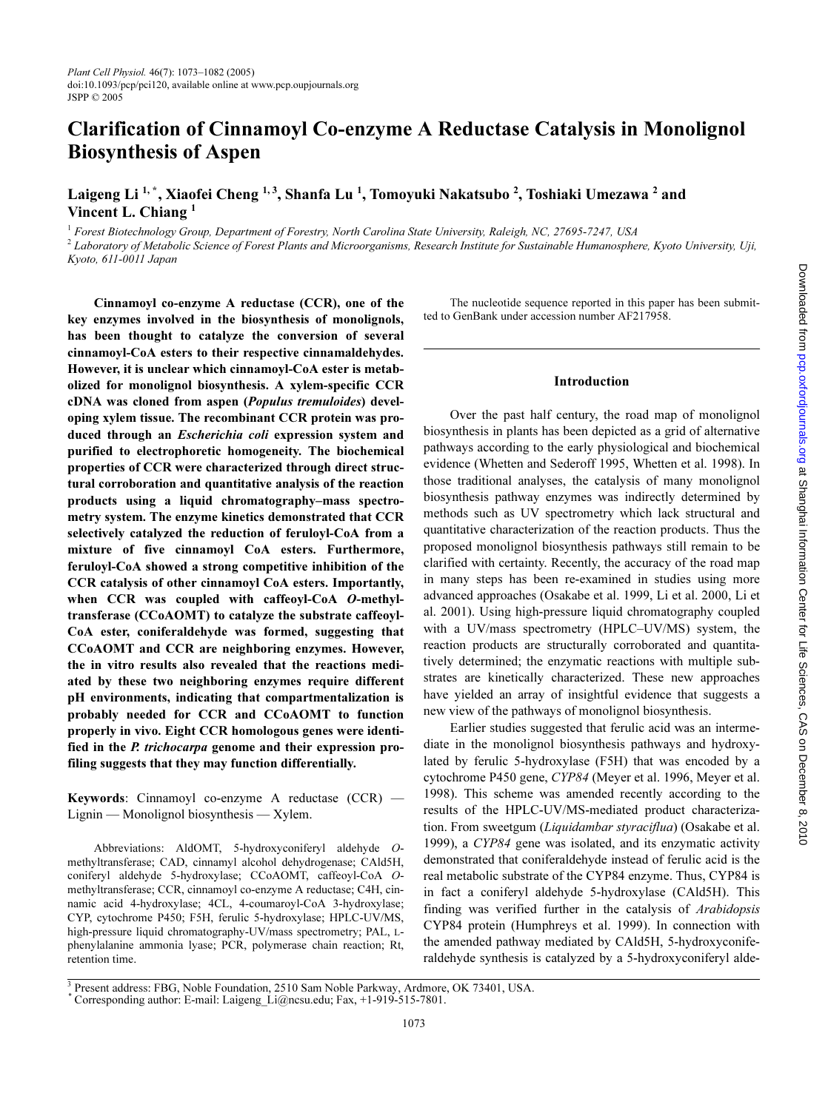# Clarification of Cinnamoyl Co-enzyme A Reductase Catalysis in Monolignol Biosynthesis of Aspen

# <span id="page-0-1"></span>Laigeng Li <sup>[1,](#page-0-0) [\\*](#page-0-1)</sup>, Xiaofei Cheng <sup>1, 3</sup>, Shanfa L[u](#page-0-0) <sup>1</sup>, Tomoyuki Nakatsub[o](#page-0-0) <sup>2</sup>, Toshiaki Umezaw[a](#page-0-0) <sup>2</sup> and Vincent L. Chiang  $<sup>1</sup>$ </sup>

<span id="page-0-0"></span><sup>1</sup> Forest Biotechnology Group, Department of Forestry, North Carolina State University, Raleigh, NC, 27695-7247, USA

 $^2$  Laboratory of Metabolic Science of Forest Plants and Microorganisms, Research Institute for Sustainable Humanosphere, Kyoto University, Uji, Kyoto, 611-0011 Japan

Cinnamoyl co-enzyme A reductase (CCR), one of the key enzymes involved in the biosynthesis of monolignols, has been thought to catalyze the conversion of several cinnamoyl-CoA esters to their respective cinnamaldehydes. However, it is unclear which cinnamoyl-CoA ester is metabolized for monolignol biosynthesis. A xylem-specific CCR cDNA was cloned from aspen (Populus tremuloides) developing xylem tissue. The recombinant CCR protein was produced through an Escherichia coli expression system and purified to electrophoretic homogeneity. The biochemical properties of CCR were characterized through direct structural corroboration and quantitative analysis of the reaction products using a liquid chromatography–mass spectrometry system. The enzyme kinetics demonstrated that CCR selectively catalyzed the reduction of feruloyl-CoA from a mixture of five cinnamoyl CoA esters. Furthermore, feruloyl-CoA showed a strong competitive inhibition of the CCR catalysis of other cinnamoyl CoA esters. Importantly, when CCR was coupled with caffeoyl-CoA O-methyltransferase (CCoAOMT) to catalyze the substrate caffeoyl-CoA ester, coniferaldehyde was formed, suggesting that CCoAOMT and CCR are neighboring enzymes. However, the in vitro results also revealed that the reactions mediated by these two neighboring enzymes require different pH environments, indicating that compartmentalization is probably needed for CCR and CCoAOMT to function properly in vivo. Eight CCR homologous genes were identified in the P. trichocarpa genome and their expression profiling suggests that they may function differentially.

Keywords: Cinnamoyl co-enzyme A reductase (CCR) — Lignin — Monolignol biosynthesis — Xylem.

Abbreviations: AldOMT, 5-hydroxyconiferyl aldehyde Omethyltransferase; CAD, cinnamyl alcohol dehydrogenase; CAld5H, coniferyl aldehyde 5-hydroxylase; CCoAOMT, caffeoyl-CoA Omethyltransferase; CCR, cinnamoyl co-enzyme A reductase; C4H, cinnamic acid 4-hydroxylase; 4CL, 4-coumaroyl-CoA 3-hydroxylase; CYP, cytochrome P450; F5H, ferulic 5-hydroxylase; HPLC-UV/MS, high-pressure liquid chromatography-UV/mass spectrometry; PAL, Lphenylalanine ammonia lyase; PCR, polymerase chain reaction; Rt, retention time.

The nucleotide sequence reported in this paper has been submitted to GenBank under accession number AF217958.

# Introduction

Over the past half century, the road map of monolignol biosynthesis in plants has been depicted as a grid of alternative pathways according to the early physiological and biochemical evidence [\(Whetten and Sederoff 1995,](#page-9-0) [Whetten et al. 1998](#page-9-1)). In those traditional analyses, the catalysis of many monolignol biosynthesis pathway enzymes was indirectly determined by methods such as UV spectrometry which lack structural and quantitative characterization of the reaction products. Thus the proposed monolignol biosynthesis pathways still remain to be clarified with certainty. Recently, the accuracy of the road map in many steps has been re-examined in studies using more advanced approaches ([Osakabe et al. 1999](#page-9-2), [Li et al. 2000,](#page-9-3) [Li et](#page-9-4) [al. 2001](#page-9-4)). Using high-pressure liquid chromatography coupled with a UV/mass spectrometry (HPLC–UV/MS) system, the reaction products are structurally corroborated and quantitatively determined; the enzymatic reactions with multiple substrates are kinetically characterized. These new approaches have yielded an array of insightful evidence that suggests a new view of the pathways of monolignol biosynthesis.

Earlier studies suggested that ferulic acid was an intermediate in the monolignol biosynthesis pathways and hydroxylated by ferulic 5-hydroxylase (F5H) that was encoded by a cytochrome P450 gene, CYP84 [\(Meyer et al. 1996](#page-9-5), [Meyer et al.](#page-9-6) [1998\)](#page-9-6). This scheme was amended recently according to the results of the HPLC-UV/MS-mediated product characterization. From sweetgum (Liquidambar styraciflua) ([Osakabe et al.](#page-9-2) [1999\)](#page-9-2), a CYP84 gene was isolated, and its enzymatic activity demonstrated that coniferaldehyde instead of ferulic acid is the real metabolic substrate of the CYP84 enzyme. Thus, CYP84 is in fact a coniferyl aldehyde 5-hydroxylase (CAld5H). This finding was verified further in the catalysis of Arabidopsis CYP84 protein ([Humphreys et al. 1999](#page-8-0)). In connection with the amended pathway mediated by CAld5H, 5-hydroxyconiferaldehyde synthesis is catalyzed by a 5-hydroxyconiferyl alde-

<sup>3</sup> Present address: FBG, Noble Foundation, 2510 Sam Noble Parkway, Ardmore, OK 73401, USA.

<sup>\*</sup> Corresponding author: E-mail: Laigeng\_Li@ncsu.edu; Fax, +1-919-515-7801.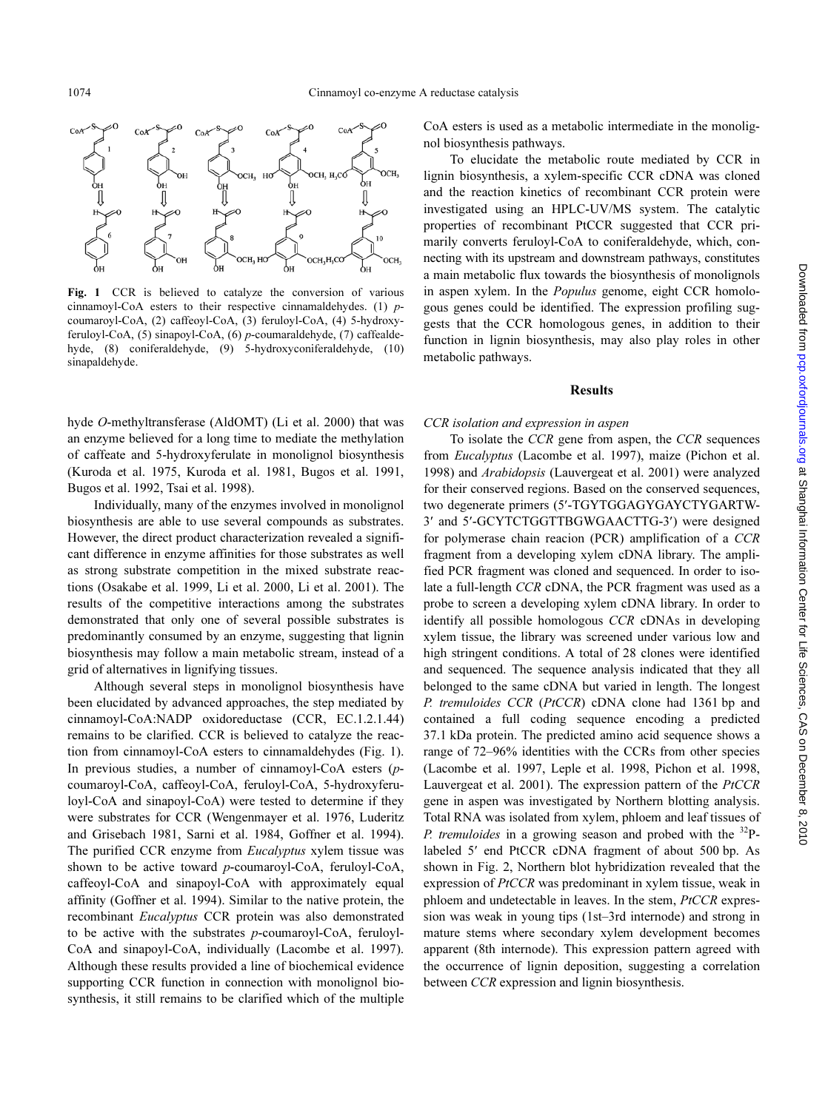

Fig. 1 CCR is believed to catalyze the conversion of various cinnamoyl-CoA esters to their respective cinnamaldehydes. (1) pcoumaroyl-CoA, (2) caffeoyl-CoA, (3) feruloyl-CoA, (4) 5-hydroxyferuloyl-CoA, (5) sinapoyl-CoA, (6) p-coumaraldehyde, (7) caffealdehyde, (8) coniferaldehyde, (9) 5-hydroxyconiferaldehyde, (10) sinapaldehyde.

hyde O-methyltransferase (AldOMT) ([Li et al. 2000](#page-9-3)) that was an enzyme believed for a long time to mediate the methylation of caffeate and 5-hydroxyferulate in monolignol biosynthesis ([Kuroda et al. 1975,](#page-9-7) [Kuroda et al. 1981](#page-9-8), [Bugos et al. 1991](#page-8-1), [Bugos et al. 1992](#page-8-2), [Tsai et al. 1998\)](#page-9-9).

Individually, many of the enzymes involved in monolignol biosynthesis are able to use several compounds as substrates. However, the direct product characterization revealed a significant difference in enzyme affinities for those substrates as well as strong substrate competition in the mixed substrate reactions [\(Osakabe et al. 1999](#page-9-2), [Li et al. 2000,](#page-9-3) [Li et al. 2001](#page-9-4)). The results of the competitive interactions among the substrates demonstrated that only one of several possible substrates is predominantly consumed by an enzyme, suggesting that lignin biosynthesis may follow a main metabolic stream, instead of a grid of alternatives in lignifying tissues.

Although several steps in monolignol biosynthesis have been elucidated by advanced approaches, the step mediated by cinnamoyl-CoA:NADP oxidoreductase (CCR, EC.1.2.1.44) remains to be clarified. CCR is believed to catalyze the reaction from cinnamoyl-CoA esters to cinnamaldehydes (Fig. [1](#page-9-10)). In previous studies, a number of cinnamoyl-CoA esters (pcoumaroyl-CoA, caffeoyl-CoA, feruloyl-CoA, 5-hydroxyferuloyl-CoA and sinapoyl-CoA) were tested to determine if they were substrates for CCR [\(Wengenmayer et al. 1976](#page-9-11), [Luderitz](#page-9-12) [and Grisebach 1981,](#page-9-12) [Sarni et al. 1984,](#page-9-13) [Goffner et al. 1994](#page-8-3)). The purified CCR enzyme from Eucalyptus xylem tissue was shown to be active toward p-coumaroyl-CoA, feruloyl-CoA, caffeoyl-CoA and sinapoyl-CoA with approximately equal affinity [\(Goffner et al. 1994](#page-8-3)). Similar to the native protein, the recombinant Eucalyptus CCR protein was also demonstrated to be active with the substrates p-coumaroyl-CoA, feruloyl-CoA and sinapoyl-CoA, individually ([Lacombe et al. 1997](#page-9-14)). Although these results provided a line of biochemical evidence supporting CCR function in connection with monolignol biosynthesis, it still remains to be clarified which of the multiple CoA esters is used as a metabolic intermediate in the monolignol biosynthesis pathways.

To elucidate the metabolic route mediated by CCR in lignin biosynthesis, a xylem-specific CCR cDNA was cloned and the reaction kinetics of recombinant CCR protein were investigated using an HPLC-UV/MS system. The catalytic properties of recombinant PtCCR suggested that CCR primarily converts feruloyl-CoA to coniferaldehyde, which, connecting with its upstream and downstream pathways, constitutes a main metabolic flux towards the biosynthesis of monolignols in aspen xylem. In the Populus genome, eight CCR homologous genes could be identified. The expression profiling suggests that the CCR homologous genes, in addition to their function in lignin biosynthesis, may also play roles in other metabolic pathways.

# **Results**

# CCR isolation and expression in aspen

To isolate the CCR gene from aspen, the CCR sequences from Eucalyptus [\(Lacombe et al. 1997\)](#page-9-14), maize ([Pichon et al.](#page-9-15) [1998\)](#page-9-15) and Arabidopsis ([Lauvergeat et al. 2001](#page-9-16)) were analyzed for their conserved regions. Based on the conserved sequences, two degenerate primers (5′-TGYTGGAGYGAYCTYGARTW-3′ and 5′-GCYTCTGGTTBGWGAACTTG-3′) were designed for polymerase chain reacion (PCR) amplification of a CCR fragment from a developing xylem cDNA library. The amplified PCR fragment was cloned and sequenced. In order to isolate a full-length CCR cDNA, the PCR fragment was used as a probe to screen a developing xylem cDNA library. In order to identify all possible homologous CCR cDNAs in developing xylem tissue, the library was screened under various low and high stringent conditions. A total of 28 clones were identified and sequenced. The sequence analysis indicated that they all belonged to the same cDNA but varied in length. The longest P. tremuloides CCR (PtCCR) cDNA clone had 1361 bp and contained a full coding sequence encoding a predicted 37.1 kDa protein. The predicted amino acid sequence shows a range of 72–96% identities with the CCRs from other species ([Lacombe et al. 1997,](#page-9-14) [Leple et al. 1998,](#page-9-17) [Pichon et al. 1998](#page-9-15), [Lauvergeat et al. 2001](#page-9-16)). The expression pattern of the PtCCR gene in aspen was investigated by Northern blotting analysis. Total RNA was isolated from xylem, phloem and leaf tissues of *P. tremuloides* in a growing season and probed with the  $32P$ labeled 5′ end PtCCR cDNA fragment of about 500 bp. As shown in Fig. [2,](#page-9-10) Northern blot hybridization revealed that the expression of PtCCR was predominant in xylem tissue, weak in phloem and undetectable in leaves. In the stem, PtCCR expression was weak in young tips (1st–3rd internode) and strong in mature stems where secondary xylem development becomes apparent (8th internode). This expression pattern agreed with the occurrence of lignin deposition, suggesting a correlation between CCR expression and lignin biosynthesis.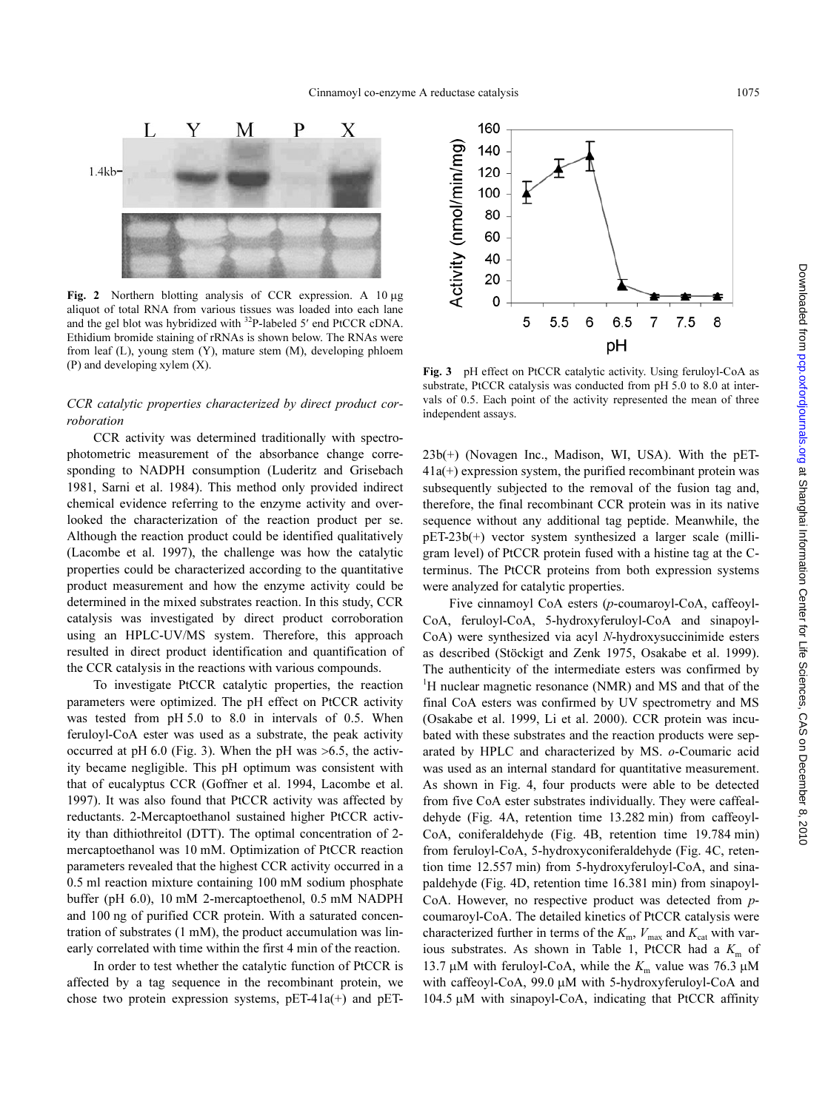

Fig. 2 Northern blotting analysis of CCR expression. A 10 <sup>µ</sup><sup>g</sup> aliquot of total RNA from various tissues was loaded into each lane and the gel blot was hybridized with <sup>32</sup>P-labeled 5′ end PtCCR cDNA. Ethidium bromide staining of rRNAs is shown below. The RNAs were from leaf (L), young stem (Y), mature stem (M), developing phloem (P) and developing xylem (X).

# CCR catalytic properties characterized by direct product corroboration

CCR activity was determined traditionally with spectrophotometric measurement of the absorbance change corresponding to NADPH consumption ([Luderitz and Grisebach](#page-9-12) [1981](#page-9-12), [Sarni et al. 1984](#page-9-13)). This method only provided indirect chemical evidence referring to the enzyme activity and overlooked the characterization of the reaction product per se. Although the reaction product could be identified qualitatively [\(Lacombe et al. 1997](#page-9-14)), the challenge was how the catalytic properties could be characterized according to the quantitative product measurement and how the enzyme activity could be determined in the mixed substrates reaction. In this study, CCR catalysis was investigated by direct product corroboration using an HPLC-UV/MS system. Therefore, this approach resulted in direct product identification and quantification of the CCR catalysis in the reactions with various compounds.

To investigate PtCCR catalytic properties, the reaction parameters were optimized. The pH effect on PtCCR activity was tested from pH 5.0 to 8.0 in intervals of 0.5. When feruloyl-CoA ester was used as a substrate, the peak activity occurred at pH  $6.0$  (Fig. [3](#page-9-10)). When the pH was  $>6.5$ , the activity became negligible. This pH optimum was consistent with that of eucalyptus CCR [\(Goffner et al. 1994,](#page-8-3) [Lacombe et al.](#page-9-14) [1997](#page-9-14)). It was also found that PtCCR activity was affected by reductants. 2-Mercaptoethanol sustained higher PtCCR activity than dithiothreitol (DTT). The optimal concentration of 2 mercaptoethanol was 10 mM. Optimization of PtCCR reaction parameters revealed that the highest CCR activity occurred in a 0.5 ml reaction mixture containing 100 mM sodium phosphate buffer (pH 6.0), 10 mM 2-mercaptoethenol, 0.5 mM NADPH and 100 ng of purified CCR protein. With a saturated concentration of substrates (1 mM), the product accumulation was linearly correlated with time within the first 4 min of the reaction.

In order to test whether the catalytic function of PtCCR is affected by a tag sequence in the recombinant protein, we chose two protein expression systems,  $pET-41a(+)$  and  $pET-$ 



Fig. 3 pH effect on PtCCR catalytic activity. Using feruloyl-CoA as substrate, PtCCR catalysis was conducted from pH 5.0 to 8.0 at intervals of 0.5. Each point of the activity represented the mean of three independent assays.

23b(+) (Novagen Inc., Madison, WI, USA). With the pET-41a(+) expression system, the purified recombinant protein was subsequently subjected to the removal of the fusion tag and, therefore, the final recombinant CCR protein was in its native sequence without any additional tag peptide. Meanwhile, the pET-23b(+) vector system synthesized a larger scale (milligram level) of PtCCR protein fused with a histine tag at the Cterminus. The PtCCR proteins from both expression systems were analyzed for catalytic properties.

Five cinnamoyl CoA esters (p-coumaroyl-CoA, caffeoyl-CoA, feruloyl-CoA, 5-hydroxyferuloyl-CoA and sinapoyl-CoA) were synthesized via acyl N-hydroxysuccinimide esters as described [\(Stöckigt and Zenk 1975,](#page-9-18) [Osakabe et al. 1999\)](#page-9-2). The authenticity of the intermediate esters was confirmed by <sup>1</sup>H nuclear magnetic resonance (NMR) and MS and that of the final CoA esters was confirmed by UV spectrometry and MS [\(Osakabe et al. 1999,](#page-9-2) [Li et al. 2000](#page-9-3)). CCR protein was incubated with these substrates and the reaction products were separated by HPLC and characterized by MS. o-Coumaric acid was used as an internal standard for quantitative measurement. As shown in Fig. [4,](#page-9-10) four products were able to be detected from five CoA ester substrates individually. They were caffealdehyde (Fig. [4A](#page-9-10), retention time 13.282 min) from caffeoyl-CoA, coniferaldehyde (Fig. [4](#page-9-10)B, retention time 19.784 min) from feruloyl-CoA, 5-hydroxyconiferaldehyde (Fig. [4](#page-9-10)C, retention time 12.557 min) from 5-hydroxyferuloyl-CoA, and sinapaldehyde (Fig. [4D](#page-9-10), retention time 16.381 min) from sinapoyl-CoA. However, no respective product was detected from pcoumaroyl-CoA. The detailed kinetics of PtCCR catalysis were characterized further in terms of the  $K_{\text{m}}$ ,  $V_{\text{max}}$  and  $K_{\text{cat}}$  with various substrates. As shown in Table 1, PtCCR had a  $K<sub>m</sub>$  of 13.7  $\mu$ M with feruloyl-CoA, while the  $K<sub>m</sub>$  value was 76.3  $\mu$ M with caffeoyl-CoA, 99.0 µM with 5-hydroxyferuloyl-CoA and 104.5 µM with sinapoyl-CoA, indicating that PtCCR affinity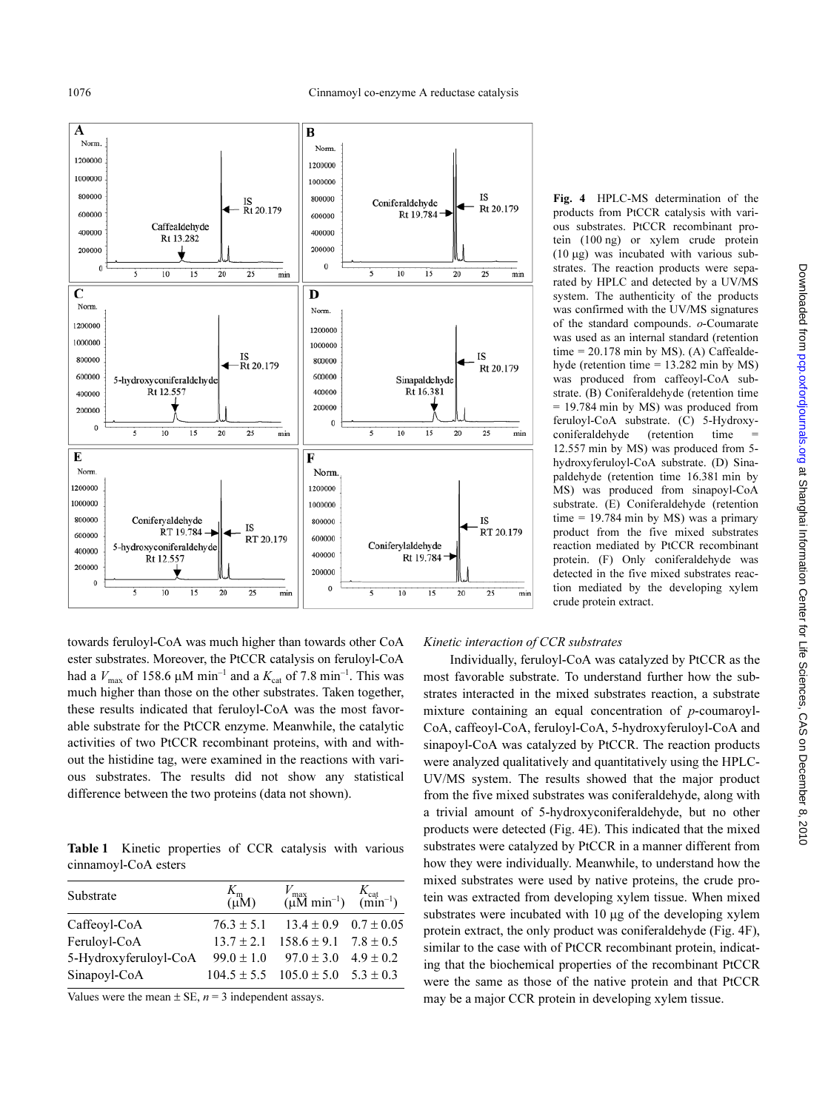

towards feruloyl-CoA was much higher than towards other CoA ester substrates. Moreover, the PtCCR catalysis on feruloyl-CoA had a  $V_{\text{max}}$  of 158.6  $\mu$ M min<sup>-1</sup> and a  $K_{\text{cat}}$  of 7.8 min<sup>-1</sup>. This was much higher than those on the other substrates. Taken together, these results indicated that feruloyl-CoA was the most favorable substrate for the PtCCR enzyme. Meanwhile, the catalytic activities of two PtCCR recombinant proteins, with and without the histidine tag, were examined in the reactions with various substrates. The results did not show any statistical difference between the two proteins (data not shown).

Table 1 Kinetic properties of CCR catalysis with various cinnamoyl-CoA esters

| Substrate             | $K_{\text{m}}$<br>( $\mu$ M) | $V_{\text{max}}$<br>( $\mu$ M min <sup>-1</sup> ) (min <sup>-1</sup> ) |  |
|-----------------------|------------------------------|------------------------------------------------------------------------|--|
| Caffeoyl-CoA          |                              | $76.3 \pm 5.1$ $13.4 \pm 0.9$ $0.7 \pm 0.05$                           |  |
| Feruloyl-CoA          |                              | $13.7 \pm 2.1$ $158.6 \pm 9.1$ $7.8 \pm 0.5$                           |  |
| 5-Hydroxyferuloyl-CoA |                              | $99.0 \pm 1.0$ $97.0 \pm 3.0$ $4.9 \pm 0.2$                            |  |
| Sinapoyl-CoA          |                              | $104.5 \pm 5.5$ $105.0 \pm 5.0$ $5.3 \pm 0.3$                          |  |

Values were the mean  $\pm$  SE,  $n = 3$  independent assays.

Fig. 4 HPLC-MS determination of the products from PtCCR catalysis with various substrates. PtCCR recombinant protein (100 ng) or xylem crude protein  $(10 \mu g)$  was incubated with various substrates. The reaction products were separated by HPLC and detected by a UV/MS system. The authenticity of the products was confirmed with the UV/MS signatures of the standard compounds. o-Coumarate was used as an internal standard (retention time  $= 20.178$  min by MS). (A) Caffealdehyde (retention time = 13.282 min by MS) was produced from caffeoyl-CoA substrate. (B) Coniferaldehyde (retention time = 19.784 min by MS) was produced from feruloyl-CoA substrate. (C) 5-Hydroxyconiferaldehyde (retention time 12.557 min by MS) was produced from 5 hydroxyferuloyl-CoA substrate. (D) Sinapaldehyde (retention time 16.381 min by MS) was produced from sinapoyl-CoA substrate. (E) Coniferaldehyde (retention time  $= 19.784$  min by MS) was a primary product from the five mixed substrates reaction mediated by PtCCR recombinant protein. (F) Only coniferaldehyde was detected in the five mixed substrates reaction mediated by the developing xylem crude protein extract.

#### Kinetic interaction of CCR substrates

Individually, feruloyl-CoA was catalyzed by PtCCR as the most favorable substrate. To understand further how the substrates interacted in the mixed substrates reaction, a substrate mixture containing an equal concentration of p-coumaroyl-CoA, caffeoyl-CoA, feruloyl-CoA, 5-hydroxyferuloyl-CoA and sinapoyl-CoA was catalyzed by PtCCR. The reaction products were analyzed qualitatively and quantitatively using the HPLC-UV/MS system. The results showed that the major product from the five mixed substrates was coniferaldehyde, along with a trivial amount of 5-hydroxyconiferaldehyde, but no other products were detected (Fig. [4E](#page-9-10)). This indicated that the mixed substrates were catalyzed by PtCCR in a manner different from how they were individually. Meanwhile, to understand how the mixed substrates were used by native proteins, the crude protein was extracted from developing xylem tissue. When mixed substrates were incubated with 10 µg of the developing xylem protein extract, the only product was coniferaldehyde (Fig. [4F](#page-9-10)), similar to the case with of PtCCR recombinant protein, indicating that the biochemical properties of the recombinant PtCCR were the same as those of the native protein and that PtCCR may be a major CCR protein in developing xylem tissue.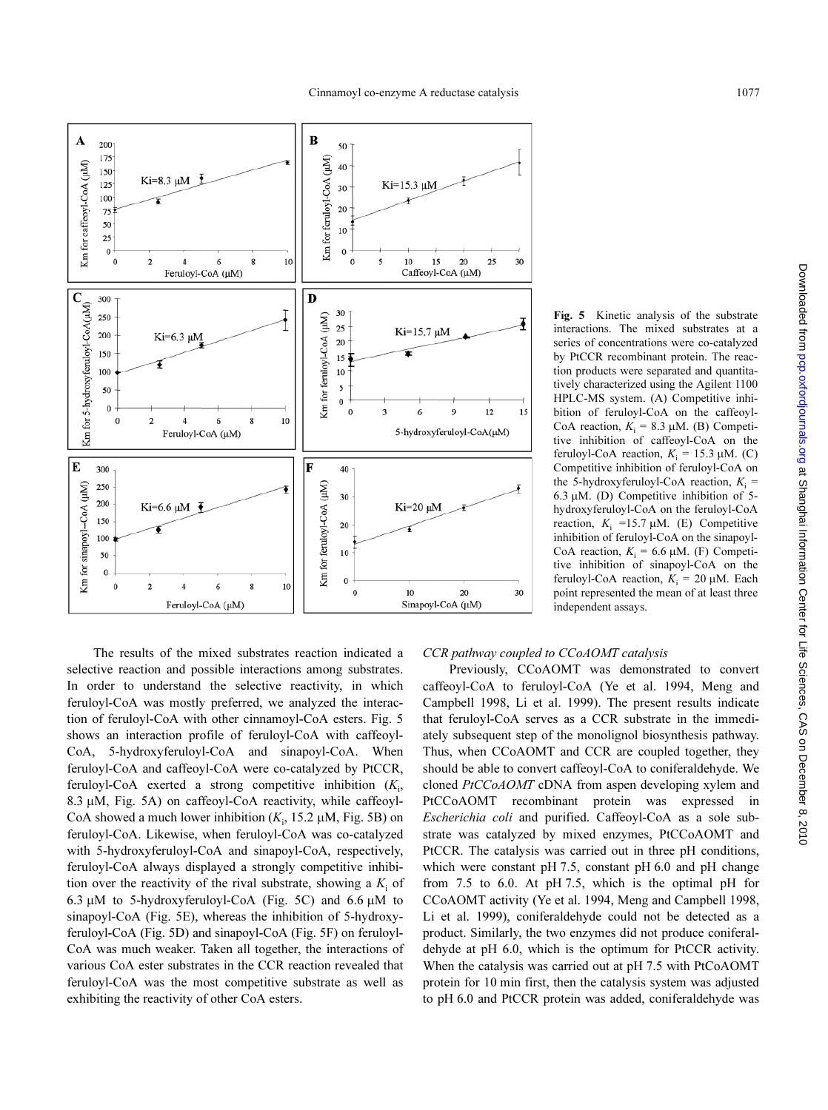

 $\overline{\mathbf{B}}$ A 200 50 175 Km for feruloyl-CoA (µM) Km for caffeoyl-CoA (µM) 40 150  $Ki=8.3 \mu M$ 125  $Ki=15.3 \mu M$ 30 100 20 75 50  $10$  $25$  $\pmb{0}$  $\pmb{0}$  $\overline{0}$  $\overline{2}$  $\sqrt{6}$ 8  $10$  $\mathbf{0}$ 10 15 20 30  $\overline{4}$ 25 Feruloyl-CoA (µM) Caffeoyl-CoA (µM)  $\mathbf{D}$  $\mathbf C$ 300 Km for 5-hydroxyferuloyl-CoA(µM) 30 250 Km for feruloyl-CoA (µM) 25 Ki=15.7 μM 200  $Ki=6.3 \mu M$ 20 150 15 100 10  $\overline{5}$ 50  $\theta$  $\bf{0}$  $12$  $\overline{0}$ q ٩ 15 6  $\mathbf{0}$  $\overline{c}$  $\epsilon$ 8 10  $\overline{4}$ 5-hydroxyferuloyl-CoA(µM) Feruloyl-CoA (µM) E F 300 40 Km for sinapoyl-CoA (µM) 250 Km for feruloyl-CoA (µM) 30 200  $Ki=6.6 \mu M$  $Ki=20 \mu M$ 150 20 100  $10$ 50  $\mathbf 0$  $\pmb{0}$  $\theta$ 2 4 6 8  $\overline{10}$  $\mathbf{0}$  $10$  $20$ 30 Feruloyl-CoA (µM) Sinapoyl-CoA (µM)

The results of the mixed substrates reaction indicated a selective reaction and possible interactions among substrates. In order to understand the selective reactivity, in which feruloyl-CoA was mostly preferred, we analyzed the interaction of feruloyl-CoA with other cinnamoyl-CoA esters. Fig. [5](#page-9-10) shows an interaction profile of feruloyl-CoA with caffeoyl-CoA, 5-hydroxyferuloyl-CoA and sinapoyl-CoA. When feruloyl-CoA and caffeoyl-CoA were co-catalyzed by PtCCR, feruloyl-CoA exerted a strong competitive inhibition  $(K_i,$ 8.3 µM, Fig. [5](#page-9-10)A) on caffeoyl-CoA reactivity, while caffeoyl-CoA showed a much lower inhibition  $(K_i, 15.2 \mu M, Fig. 5B)$  $(K_i, 15.2 \mu M, Fig. 5B)$  $(K_i, 15.2 \mu M, Fig. 5B)$  on feruloyl-CoA. Likewise, when feruloyl-CoA was co-catalyzed with 5-hydroxyferuloyl-CoA and sinapoyl-CoA, respectively, feruloyl-CoA always displayed a strongly competitive inhibition over the reactivity of the rival substrate, showing a  $K<sub>i</sub>$  of 6.3  $\mu$ M to 5-hydroxyferuloyl-CoA (Fig. [5C](#page-9-10)) and 6.6  $\mu$ M to sinapoyl-CoA (Fig. [5](#page-9-10)E), whereas the inhibition of 5-hydroxyferuloyl-CoA (Fig. [5](#page-9-10)D) and sinapoyl-CoA (Fig. [5F](#page-9-10)) on feruloyl-CoA was much weaker. Taken all together, the interactions of various CoA ester substrates in the CCR reaction revealed that feruloyl-CoA was the most competitive substrate as well as exhibiting the reactivity of other CoA esters.

Fig. 5 Kinetic analysis of the substrate interactions. The mixed substrates at a series of concentrations were co-catalyzed by PtCCR recombinant protein. The reaction products were separated and quantitatively characterized using the Agilent 1100 HPLC-MS system. (A) Competitive inhibition of feruloyl-CoA on the caffeoyl-CoA reaction,  $K_i = 8.3 \mu M$ . (B) Competitive inhibition of caffeoyl-CoA on the feruloyl-CoA reaction,  $K_i = 15.3 \mu M$ . (C) Competitive inhibition of feruloyl-CoA on the 5-hydroxyferuloyl-CoA reaction,  $K_i$  = 6.3  $\mu$ M. (D) Competitive inhibition of 5hydroxyferuloyl-CoA on the feruloyl-CoA reaction,  $K_i$  =15.7 µM. (E) Competitive inhibition of feruloyl-CoA on the sinapoyl-CoA reaction,  $K_i = 6.6 \mu M$ . (F) Competitive inhibition of sinapoyl-CoA on the feruloyl-CoA reaction,  $K_i = 20 \mu M$ . Each point represented the mean of at least three independent assays.

# CCR pathway coupled to CCoAOMT catalysis

Previously, CCoAOMT was demonstrated to convert caffeoyl-CoA to feruloyl-CoA ([Ye et al. 1994,](#page-9-19) [Meng and](#page-9-20) [Campbell 1998](#page-9-20), [Li et al. 1999\)](#page-9-21). The present results indicate that feruloyl-CoA serves as a CCR substrate in the immediately subsequent step of the monolignol biosynthesis pathway. Thus, when CCoAOMT and CCR are coupled together, they should be able to convert caffeoyl-CoA to coniferaldehyde. We cloned PtCCoAOMT cDNA from aspen developing xylem and PtCCoAOMT recombinant protein was expressed in Escherichia coli and purified. Caffeoyl-CoA as a sole substrate was catalyzed by mixed enzymes, PtCCoAOMT and PtCCR. The catalysis was carried out in three pH conditions, which were constant pH 7.5, constant pH 6.0 and pH change from 7.5 to 6.0. At pH 7.5, which is the optimal pH for CCoAOMT activity [\(Ye et al. 1994](#page-9-19), [Meng and Campbell 1998,](#page-9-20) [Li et al. 1999](#page-9-21)), coniferaldehyde could not be detected as a product. Similarly, the two enzymes did not produce coniferaldehyde at pH 6.0, which is the optimum for PtCCR activity. When the catalysis was carried out at pH 7.5 with PtCoAOMT protein for 10 min first, then the catalysis system was adjusted to pH 6.0 and PtCCR protein was added, coniferaldehyde was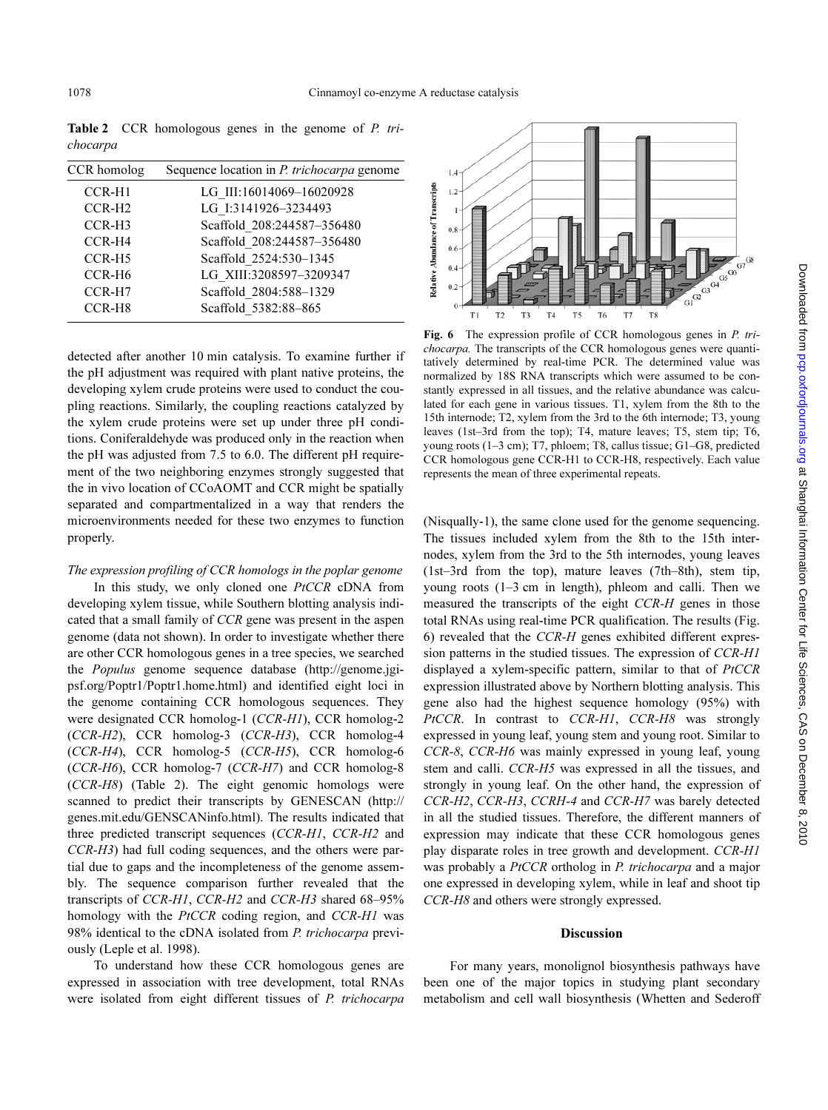Table 2 CCR homologous genes in the genome of P. trichocarpa

| CCR homolog        | Sequence location in <i>P. trichocarpa</i> genome |
|--------------------|---------------------------------------------------|
| CCR-H1             | LG III:16014069-16020928                          |
| CCR-H <sub>2</sub> | LG I:3141926-3234493                              |
| $CCR-H3$           | Scaffold 208:244587-356480                        |
| CCR-H <sub>4</sub> | Scaffold 208:244587-356480                        |
| $CCR-H5$           | Scaffold 2524:530-1345                            |
| CCR-H <sub>6</sub> | LG XIII:3208597-3209347                           |
| $CCR-H7$           | Scaffold 2804:588-1329                            |
| CCR-H <sub>8</sub> | Scaffold 5382:88-865                              |
|                    |                                                   |

detected after another 10 min catalysis. To examine further if the pH adjustment was required with plant native proteins, the developing xylem crude proteins were used to conduct the coupling reactions. Similarly, the coupling reactions catalyzed by the xylem crude proteins were set up under three pH conditions. Coniferaldehyde was produced only in the reaction when the pH was adjusted from 7.5 to 6.0. The different pH requirement of the two neighboring enzymes strongly suggested that the in vivo location of CCoAOMT and CCR might be spatially separated and compartmentalized in a way that renders the microenvironments needed for these two enzymes to function properly.

# The expression profiling of CCR homologs in the poplar genome

In this study, we only cloned one  $PtCCR$  cDNA from developing xylem tissue, while Southern blotting analysis indicated that a small family of CCR gene was present in the aspen genome (data not shown). In order to investigate whether there are other CCR homologous genes in a tree species, we searched the Populus genome sequence database (http://genome.jgi[psf.org/Poptr1/Poptr1.home.html\) and identified eight loci in](http://genome.jgi-psf.org/Poptr1/Poptr1.home.html) the genome containing CCR homologous sequences. They were designated CCR homolog-1 (CCR-H1), CCR homolog-2 (CCR-H2), CCR homolog-3 (CCR-H3), CCR homolog-4 (CCR-H4), CCR homolog-5 (CCR-H5), CCR homolog-6 (CCR-H6), CCR homolog-7 (CCR-H7) and CCR homolog-8 (CCR-H8) (Table 2). The eight genomic homologs were scanned to predict their transcripts by GENESCAN (http:// [genes.mit.edu/GENSCANinfo.html\). The results indicated th](http://genes.mit.edu/GENSCANinfo.html)at three predicted transcript sequences (CCR-H1, CCR-H2 and CCR-H3) had full coding sequences, and the others were partial due to gaps and the incompleteness of the genome assembly. The sequence comparison further revealed that the transcripts of CCR-H1, CCR-H2 and CCR-H3 shared 68–95% homology with the PtCCR coding region, and CCR-H1 was 98% identical to the cDNA isolated from P. trichocarpa previously ([Leple et al. 1998\)](#page-9-17).

To understand how these CCR homologous genes are expressed in association with tree development, total RNAs were isolated from eight different tissues of P. trichocarpa



Fig. 6 The expression profile of CCR homologous genes in P. trichocarpa. The transcripts of the CCR homologous genes were quantitatively determined by real-time PCR. The determined value was normalized by 18S RNA transcripts which were assumed to be constantly expressed in all tissues, and the relative abundance was calculated for each gene in various tissues. T1, xylem from the 8th to the 15th internode; T2, xylem from the 3rd to the 6th internode; T3, young leaves (1st–3rd from the top); T4, mature leaves; T5, stem tip; T6, young roots (1–3 cm); T7, phloem; T8, callus tissue; G1–G8, predicted CCR homologous gene CCR-H1 to CCR-H8, respectively. Each value represents the mean of three experimental repeats.

(Nisqually-1), the same clone used for the genome sequencing. The tissues included xylem from the 8th to the 15th internodes, xylem from the 3rd to the 5th internodes, young leaves (1st–3rd from the top), mature leaves (7th–8th), stem tip, young roots (1–3 cm in length), phleom and calli. Then we measured the transcripts of the eight CCR-H genes in those total RNAs using real-time PCR qualification. The results (Fig. [6](#page-9-10)) revealed that the CCR-H genes exhibited different expression patterns in the studied tissues. The expression of CCR-H1 displayed a xylem-specific pattern, similar to that of PtCCR expression illustrated above by Northern blotting analysis. This gene also had the highest sequence homology (95%) with PtCCR. In contrast to CCR-H1, CCR-H8 was strongly expressed in young leaf, young stem and young root. Similar to CCR-8, CCR-H6 was mainly expressed in young leaf, young stem and calli. CCR-H5 was expressed in all the tissues, and strongly in young leaf. On the other hand, the expression of CCR-H2, CCR-H3, CCRH-4 and CCR-H7 was barely detected in all the studied tissues. Therefore, the different manners of expression may indicate that these CCR homologous genes play disparate roles in tree growth and development. CCR-H1 was probably a PtCCR ortholog in P. trichocarpa and a major one expressed in developing xylem, while in leaf and shoot tip CCR-H8 and others were strongly expressed.

#### Discussion

For many years, monolignol biosynthesis pathways have been one of the major topics in studying plant secondary metabolism and cell wall biosynthesis ([Whetten and Sederoff](#page-9-0)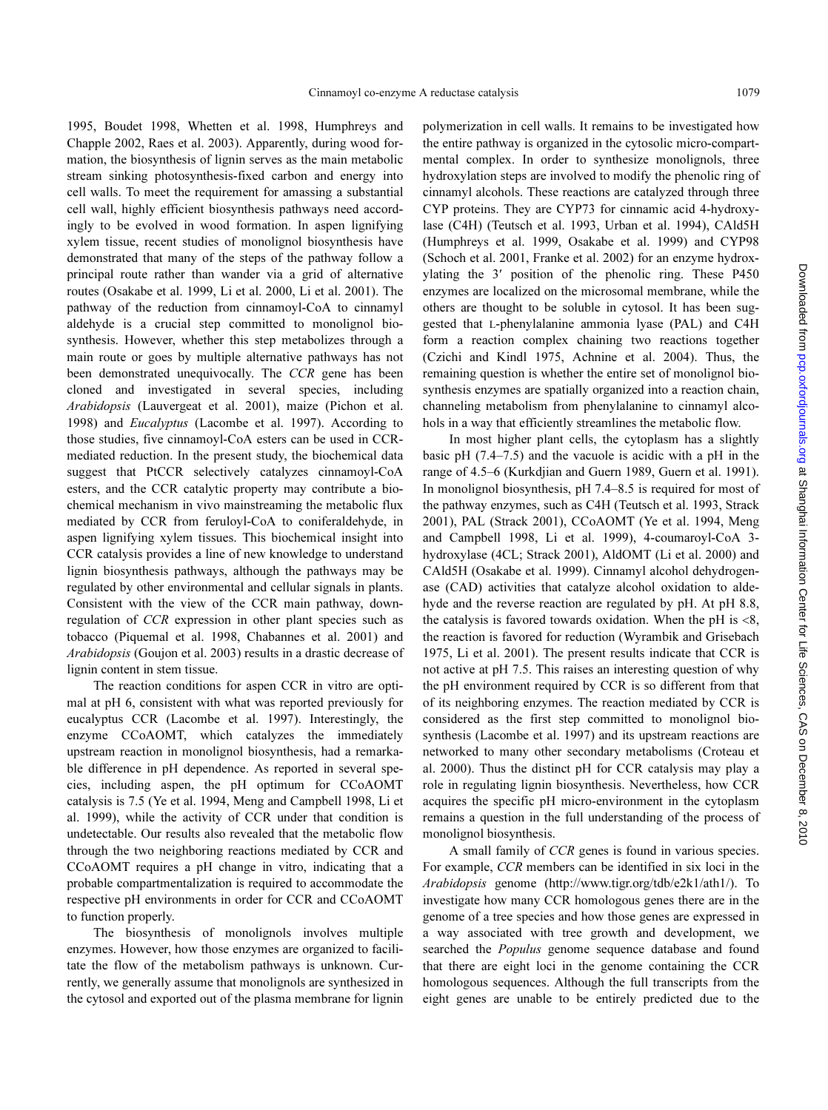[1995](#page-9-0), [Boudet 1998,](#page-8-4) [Whetten et al. 1998,](#page-9-1) [Humphreys and](#page-8-5) [Chapple 2002,](#page-8-5) [Raes et al. 2003\)](#page-9-22). Apparently, during wood formation, the biosynthesis of lignin serves as the main metabolic stream sinking photosynthesis-fixed carbon and energy into cell walls. To meet the requirement for amassing a substantial cell wall, highly efficient biosynthesis pathways need accordingly to be evolved in wood formation. In aspen lignifying xylem tissue, recent studies of monolignol biosynthesis have demonstrated that many of the steps of the pathway follow a principal route rather than wander via a grid of alternative routes [\(Osakabe et al. 1999](#page-9-2), [Li et al. 2000](#page-9-3), [Li et al. 2001\)](#page-9-4). The pathway of the reduction from cinnamoyl-CoA to cinnamyl aldehyde is a crucial step committed to monolignol biosynthesis. However, whether this step metabolizes through a main route or goes by multiple alternative pathways has not been demonstrated unequivocally. The CCR gene has been cloned and investigated in several species, including Arabidopsis [\(Lauvergeat et al. 2001\)](#page-9-16), maize [\(Pichon et al.](#page-9-15) [1998](#page-9-15)) and Eucalyptus [\(Lacombe et al. 1997\)](#page-9-14). According to those studies, five cinnamoyl-CoA esters can be used in CCRmediated reduction. In the present study, the biochemical data suggest that PtCCR selectively catalyzes cinnamoyl-CoA esters, and the CCR catalytic property may contribute a biochemical mechanism in vivo mainstreaming the metabolic flux mediated by CCR from feruloyl-CoA to coniferaldehyde, in aspen lignifying xylem tissues. This biochemical insight into CCR catalysis provides a line of new knowledge to understand lignin biosynthesis pathways, although the pathways may be regulated by other environmental and cellular signals in plants. Consistent with the view of the CCR main pathway, downregulation of CCR expression in other plant species such as tobacco ([Piquemal et al. 1998,](#page-9-23) [Chabannes et al. 2001\)](#page-8-6) and Arabidopsis ([Goujon et al. 2003](#page-8-7)) results in a drastic decrease of lignin content in stem tissue.

The reaction conditions for aspen CCR in vitro are optimal at pH 6, consistent with what was reported previously for eucalyptus CCR ([Lacombe et al. 1997](#page-9-14)). Interestingly, the enzyme CCoAOMT, which catalyzes the immediately upstream reaction in monolignol biosynthesis, had a remarkable difference in pH dependence. As reported in several species, including aspen, the pH optimum for CCoAOMT catalysis is 7.5 ([Ye et al. 1994,](#page-9-19) [Meng and Campbell 1998](#page-9-20), [Li et](#page-9-21) [al. 1999\)](#page-9-21), while the activity of CCR under that condition is undetectable. Our results also revealed that the metabolic flow through the two neighboring reactions mediated by CCR and CCoAOMT requires a pH change in vitro, indicating that a probable compartmentalization is required to accommodate the respective pH environments in order for CCR and CCoAOMT to function properly.

The biosynthesis of monolignols involves multiple enzymes. However, how those enzymes are organized to facilitate the flow of the metabolism pathways is unknown. Currently, we generally assume that monolignols are synthesized in the cytosol and exported out of the plasma membrane for lignin

polymerization in cell walls. It remains to be investigated how the entire pathway is organized in the cytosolic micro-compartmental complex. In order to synthesize monolignols, three hydroxylation steps are involved to modify the phenolic ring of cinnamyl alcohols. These reactions are catalyzed through three CYP proteins. They are CYP73 for cinnamic acid 4-hydroxylase (C4H) ([Teutsch et al. 1993,](#page-9-24) [Urban et al. 1994\)](#page-9-25), CAld5H [\(Humphreys et al. 1999,](#page-8-0) [Osakabe et al. 1999](#page-9-2)) and CYP98 [\(Schoch et al. 2001](#page-9-26), [Franke et al. 2002\)](#page-8-8) for an enzyme hydroxylating the 3′ position of the phenolic ring. These P450 enzymes are localized on the microsomal membrane, while the others are thought to be soluble in cytosol. It has been suggested that *L*-phenylalanine ammonia lyase (PAL) and C4H form a reaction complex chaining two reactions together [\(Czichi and Kindl 1975,](#page-8-9) [Achnine et al. 2004](#page-8-10)). Thus, the remaining question is whether the entire set of monolignol biosynthesis enzymes are spatially organized into a reaction chain, channeling metabolism from phenylalanine to cinnamyl alcohols in a way that efficiently streamlines the metabolic flow.

In most higher plant cells, the cytoplasm has a slightly basic pH (7.4–7.5) and the vacuole is acidic with a pH in the range of 4.5–6 ([Kurkdjian and Guern 1989,](#page-9-27) [Guern et al. 1991\)](#page-8-11). In monolignol biosynthesis, pH 7.4–8.5 is required for most of the pathway enzymes, such as C4H [\(Teutsch et al. 1993,](#page-9-24) [Strack](#page-9-28) [2001](#page-9-28)), PAL ([Strack 2001](#page-9-28)), CCoAOMT ([Ye et al. 1994](#page-9-19), [Meng](#page-9-20) [and Campbell 1998,](#page-9-20) [Li et al. 1999](#page-9-21)), 4-coumaroyl-CoA 3 hydroxylase (4CL; [Strack 2001\)](#page-9-28), AldOMT ([Li et al. 2000](#page-9-3)) and CAld5H [\(Osakabe et al. 1999\)](#page-9-2). Cinnamyl alcohol dehydrogenase (CAD) activities that catalyze alcohol oxidation to aldehyde and the reverse reaction are regulated by pH. At pH 8.8, the catalysis is favored towards oxidation. When the pH is  $\langle 8, 8 \rangle$ the reaction is favored for reduction [\(Wyrambik and Grisebach](#page-9-29) [1975](#page-9-29), [Li et al. 2001\)](#page-9-4). The present results indicate that CCR is not active at pH 7.5. This raises an interesting question of why the pH environment required by CCR is so different from that of its neighboring enzymes. The reaction mediated by CCR is considered as the first step committed to monolignol biosynthesis [\(Lacombe et al. 1997\)](#page-9-14) and its upstream reactions are networked to many other secondary metabolisms [\(Croteau et](#page-8-12) [al. 2000\)](#page-8-12). Thus the distinct pH for CCR catalysis may play a role in regulating lignin biosynthesis. Nevertheless, how CCR acquires the specific pH micro-environment in the cytoplasm remains a question in the full understanding of the process of monolignol biosynthesis.

A small family of CCR genes is found in various species. For example, CCR members can be identified in six loci in the Arabidopsis genome ([http://www.tigr.org/tdb/e2k1/ath1](http://www.tigr.org/tdb/e2k1/ath1/)/). To investigate how many CCR homologous genes there are in the genome of a tree species and how those genes are expressed in a way associated with tree growth and development, we searched the Populus genome sequence database and found that there are eight loci in the genome containing the CCR homologous sequences. Although the full transcripts from the eight genes are unable to be entirely predicted due to the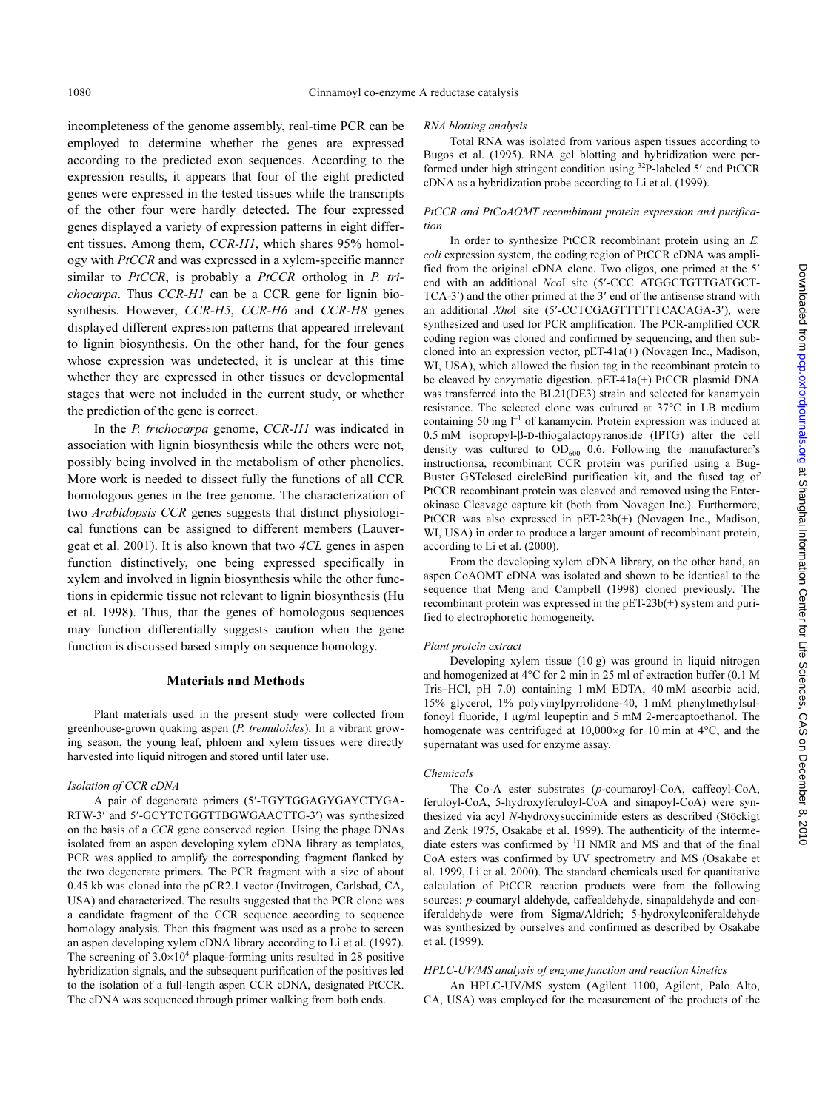incompleteness of the genome assembly, real-time PCR can be employed to determine whether the genes are expressed according to the predicted exon sequences. According to the expression results, it appears that four of the eight predicted genes were expressed in the tested tissues while the transcripts of the other four were hardly detected. The four expressed genes displayed a variety of expression patterns in eight different tissues. Among them, CCR-H1, which shares 95% homology with PtCCR and was expressed in a xylem-specific manner similar to PtCCR, is probably a PtCCR ortholog in P. trichocarpa. Thus CCR-H1 can be a CCR gene for lignin biosynthesis. However, CCR-H5, CCR-H6 and CCR-H8 genes displayed different expression patterns that appeared irrelevant to lignin biosynthesis. On the other hand, for the four genes whose expression was undetected, it is unclear at this time whether they are expressed in other tissues or developmental stages that were not included in the current study, or whether the prediction of the gene is correct.

In the *P. trichocarpa* genome, *CCR-H1* was indicated in association with lignin biosynthesis while the others were not, possibly being involved in the metabolism of other phenolics. More work is needed to dissect fully the functions of all CCR homologous genes in the tree genome. The characterization of two Arabidopsis CCR genes suggests that distinct physiological functions can be assigned to different members ([Lauver](#page-9-16)[geat et al. 2001\)](#page-9-16). It is also known that two 4CL genes in aspen function distinctively, one being expressed specifically in xylem and involved in lignin biosynthesis while the other functions in epidermic tissue not relevant to lignin biosynthesis ([Hu](#page-8-13) [et al. 1998](#page-8-13)). Thus, that the genes of homologous sequences may function differentially suggests caution when the gene function is discussed based simply on sequence homology.

#### Materials and Methods

Plant materials used in the present study were collected from greenhouse-grown quaking aspen (P. tremuloides). In a vibrant growing season, the young leaf, phloem and xylem tissues were directly harvested into liquid nitrogen and stored until later use.

#### Isolation of CCR cDNA

A pair of degenerate primers (5′-TGYTGGAGYGAYCTYGA-RTW-3′ and 5′-GCYTCTGGTTBGWGAACTTG-3′) was synthesized on the basis of a CCR gene conserved region. Using the phage DNAs isolated from an aspen developing xylem cDNA library as templates, PCR was applied to amplify the corresponding fragment flanked by the two degenerate primers. The PCR fragment with a size of about 0.45 kb was cloned into the pCR2.1 vector (Invitrogen, Carlsbad, CA, USA) and characterized. The results suggested that the PCR clone was a candidate fragment of the CCR sequence according to sequence homology analysis. Then this fragment was used as a probe to screen an aspen developing xylem cDNA library according to [Li et al. \(1997\)](#page-9-30). The screening of  $3.0 \times 10^4$  plaque-forming units resulted in 28 positive hybridization signals, and the subsequent purification of the positives led to the isolation of a full-length aspen CCR cDNA, designated PtCCR. The cDNA was sequenced through primer walking from both ends.

#### RNA blotting analysis

Total RNA was isolated from various aspen tissues according to [Bugos et al. \(1995\).](#page-8-14) RNA gel blotting and hybridization were performed under high stringent condition using <sup>32</sup>P-labeled 5′ end PtCCR cDNA as a hybridization probe according to [Li et al. \(1999\)](#page-9-21).

#### PtCCR and PtCoAOMT recombinant protein expression and purification

In order to synthesize PtCCR recombinant protein using an E. coli expression system, the coding region of PtCCR cDNA was amplified from the original cDNA clone. Two oligos, one primed at the 5′ end with an additional NcoI site (5'-CCC ATGGCTGTTGATGCT-TCA-3′) and the other primed at the 3′ end of the antisense strand with an additional XhoI site (5'-CCTCGAGTTTTTTCACAGA-3'), were synthesized and used for PCR amplification. The PCR-amplified CCR coding region was cloned and confirmed by sequencing, and then subcloned into an expression vector, pET-41a(+) (Novagen Inc., Madison, WI, USA), which allowed the fusion tag in the recombinant protein to be cleaved by enzymatic digestion. pET-41a(+) PtCCR plasmid DNA was transferred into the BL21(DE3) strain and selected for kanamycin resistance. The selected clone was cultured at 37°C in LB medium containing 50 mg  $I^{-1}$  of kanamycin. Protein expression was induced at 0.5 mM isopropyl-β-D-thiogalactopyranoside (IPTG) after the cell density was cultured to  $OD_{600}$  0.6. Following the manufacturer's instructionsa, recombinant CCR protein was purified using a Bug-Buster GSTclosed circleBind purification kit, and the fused tag of PtCCR recombinant protein was cleaved and removed using the Enterokinase Cleavage capture kit (both from Novagen Inc.). Furthermore, PtCCR was also expressed in pET-23b(+) (Novagen Inc., Madison, WI, USA) in order to produce a larger amount of recombinant protein, according to [Li et al. \(2000\).](#page-9-3)

From the developing xylem cDNA library, on the other hand, an aspen CoAOMT cDNA was isolated and shown to be identical to the sequence that [Meng and Campbell \(1998\)](#page-9-20) cloned previously. The recombinant protein was expressed in the pET-23b(+) system and purified to electrophoretic homogeneity.

#### Plant protein extract

Developing xylem tissue (10 g) was ground in liquid nitrogen and homogenized at 4°C for 2 min in 25 ml of extraction buffer (0.1 M Tris–HCl, pH 7.0) containing 1 mM EDTA, 40 mM ascorbic acid, 15% glycerol, 1% polyvinylpyrrolidone-40, 1 mM phenylmethylsulfonoyl fluoride, 1 µg/ml leupeptin and 5 mM 2-mercaptoethanol. The homogenate was centrifuged at  $10,000 \times g$  for 10 min at 4 $\degree$ C, and the supernatant was used for enzyme assay.

#### Chemicals

The Co-A ester substrates (p-coumaroyl-CoA, caffeoyl-CoA, feruloyl-CoA, 5-hydroxyferuloyl-CoA and sinapoyl-CoA) were synthesized via acyl N-hydroxysuccinimide esters as described [\(Stöckigt](#page-9-18) [and Zenk 1975](#page-9-18), [Osakabe et al. 1999](#page-9-2)). The authenticity of the intermediate esters was confirmed by <sup>1</sup>H NMR and MS and that of the final CoA esters was confirmed by UV spectrometry and MS [\(Osakabe et](#page-9-2) [al. 1999,](#page-9-2) [Li et al. 2000](#page-9-3)). The standard chemicals used for quantitative calculation of PtCCR reaction products were from the following sources: *p*-coumaryl aldehyde, caffealdehyde, sinapaldehyde and coniferaldehyde were from Sigma/Aldrich; 5-hydroxylconiferaldehyde was synthesized by ourselves and confirmed as described by [Osakabe](#page-9-2) [et al. \(1999\).](#page-9-2)

# HPLC-UV/MS analysis of enzyme function and reaction kinetics

An HPLC-UV/MS system (Agilent 1100, Agilent, Palo Alto, CA, USA) was employed for the measurement of the products of the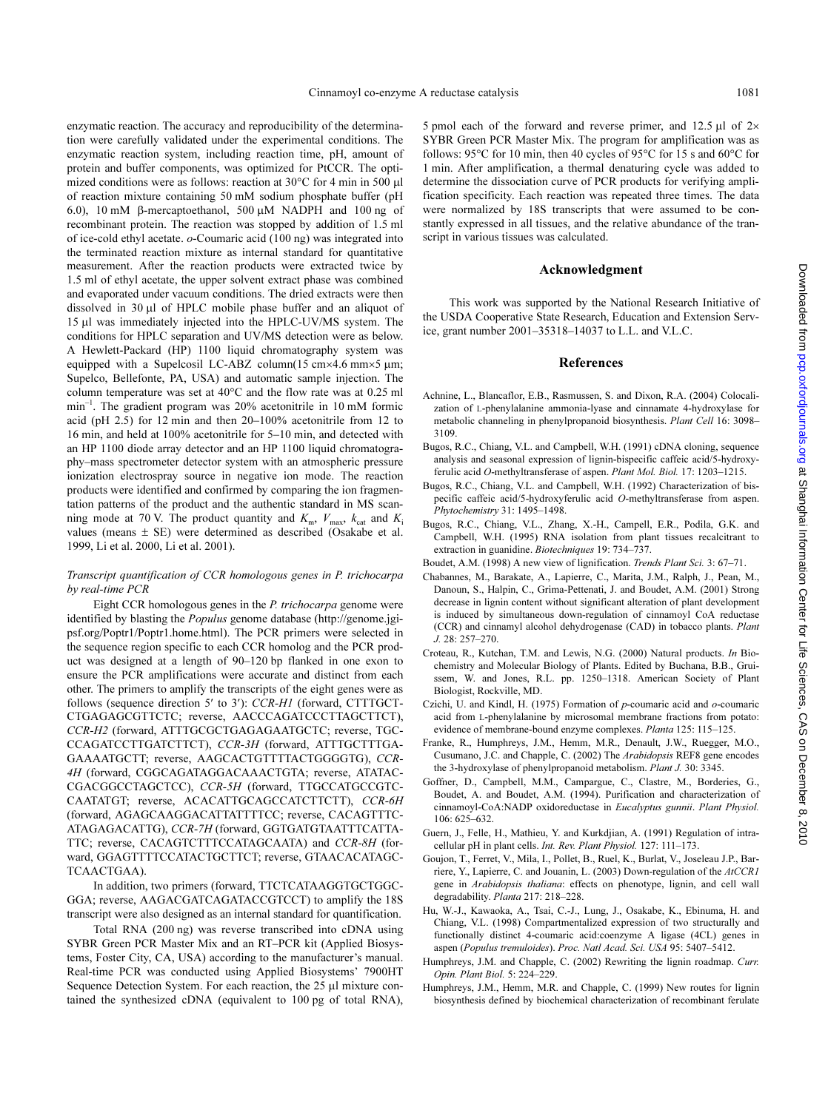enzymatic reaction. The accuracy and reproducibility of the determination were carefully validated under the experimental conditions. The enzymatic reaction system, including reaction time, pH, amount of protein and buffer components, was optimized for PtCCR. The optimized conditions were as follows: reaction at 30°C for 4 min in 500 µl of reaction mixture containing 50 mM sodium phosphate buffer (pH 6.0), 10 mM β-mercaptoethanol, 500 µM NADPH and 100 ng of recombinant protein. The reaction was stopped by addition of 1.5 ml of ice-cold ethyl acetate. o-Coumaric acid (100 ng) was integrated into the terminated reaction mixture as internal standard for quantitative measurement. After the reaction products were extracted twice by 1.5 ml of ethyl acetate, the upper solvent extract phase was combined and evaporated under vacuum conditions. The dried extracts were then dissolved in 30 µl of HPLC mobile phase buffer and an aliquot of 15 µl was immediately injected into the HPLC-UV/MS system. The conditions for HPLC separation and UV/MS detection were as below. A Hewlett-Packard (HP) 1100 liquid chromatography system was equipped with a Supelcosil LC-ABZ column(15 cm×4.6 mm×5 µm; Supelco, Bellefonte, PA, USA) and automatic sample injection. The column temperature was set at 40°C and the flow rate was at 0.25 ml min–1. The gradient program was 20% acetonitrile in 10 mM formic acid (pH 2.5) for 12 min and then 20–100% acetonitrile from 12 to 16 min, and held at 100% acetonitrile for 5–10 min, and detected with an HP 1100 diode array detector and an HP 1100 liquid chromatography–mass spectrometer detector system with an atmospheric pressure ionization electrospray source in negative ion mode. The reaction products were identified and confirmed by comparing the ion fragmentation patterns of the product and the authentic standard in MS scanning mode at 70 V. The product quantity and  $K_{\text{m}}$ ,  $V_{\text{max}}$ ,  $k_{\text{cat}}$  and  $K_{\text{i}}$ values (means  $\pm$  SE) were determined as described ([Osakabe et al.](#page-9-2) [1999](#page-9-2), [Li et al. 2000,](#page-9-3) [Li et al. 2001](#page-9-4)).

#### Transcript quantification of CCR homologous genes in P. trichocarpa by real-time PCR

Eight CCR homologous genes in the P. trichocarpa genome were identified by blasting the *Populus* genome database (http://genome.jgi[psf.org/Poptr1/Poptr1.home.html\). The PCR primers were selected in](http://genome.jgipsf.org/Poptr1/Poptr1.home.html) the sequence region specific to each CCR homolog and the PCR product was designed at a length of 90–120 bp flanked in one exon to ensure the PCR amplifications were accurate and distinct from each other. The primers to amplify the transcripts of the eight genes were as follows (sequence direction 5′ to 3′): CCR-H1 (forward, CTTTGCT-CTGAGAGCGTTCTC; reverse, AACCCAGATCCCTTAGCTTCT), CCR-H2 (forward, ATTTGCGCTGAGAGAATGCTC; reverse, TGC-CCAGATCCTTGATCTTCT), CCR-3H (forward, ATTTGCTTTGA-GAAAATGCTT; reverse, AAGCACTGTTTTACTGGGGTG), CCR-4H (forward, CGGCAGATAGGACAAACTGTA; reverse, ATATAC-CGACGGCCTAGCTCC), CCR-5H (forward, TTGCCATGCCGTC-CAATATGT; reverse, ACACATTGCAGCCATCTTCTT), CCR-6H (forward, AGAGCAAGGACATTATTTTCC; reverse, CACAGTTTC-ATAGAGACATTG), CCR-7H (forward, GGTGATGTAATTTCATTA-TTC; reverse, CACAGTCTTTCCATAGCAATA) and CCR-8H (forward, GGAGTTTTCCATACTGCTTCT; reverse, GTAACACATAGC-TCAACTGAA).

In addition, two primers (forward, TTCTCATAAGGTGCTGGC-GGA; reverse, AAGACGATCAGATACCGTCCT) to amplify the 18S transcript were also designed as an internal standard for quantification.

Total RNA (200 ng) was reverse transcribed into cDNA using SYBR Green PCR Master Mix and an RT–PCR kit (Applied Biosystems, Foster City, CA, USA) according to the manufacturer's manual. Real-time PCR was conducted using Applied Biosystems' 7900HT Sequence Detection System. For each reaction, the 25 µl mixture contained the synthesized cDNA (equivalent to 100 pg of total RNA),

5 pmol each of the forward and reverse primer, and  $12.5 \text{ }\mu\text{l}$  of  $2 \times$ SYBR Green PCR Master Mix. The program for amplification was as follows: 95°C for 10 min, then 40 cycles of 95°C for 15 s and 60°C for 1 min. After amplification, a thermal denaturing cycle was added to determine the dissociation curve of PCR products for verifying amplification specificity. Each reaction was repeated three times. The data were normalized by 18S transcripts that were assumed to be constantly expressed in all tissues, and the relative abundance of the transcript in various tissues was calculated.

#### Acknowledgment

This work was supported by the National Research Initiative of the USDA Cooperative State Research, Education and Extension Service, grant number 2001–35318–14037 to L.L. and V.L.C.

### References

- <span id="page-8-10"></span>Achnine, L., Blancaflor, E.B., Rasmussen, S. and Dixon, R.A. (2004) Colocalization of L-phenylalanine ammonia-lyase and cinnamate 4-hydroxylase for metabolic channeling in phenylpropanoid biosynthesis. Plant Cell 16: 3098– 3109.
- <span id="page-8-1"></span>Bugos, R.C., Chiang, V.L. and Campbell, W.H. (1991) cDNA cloning, sequence analysis and seasonal expression of lignin-bispecific caffeic acid/5-hydroxyferulic acid O-methyltransferase of aspen. Plant Mol. Biol. 17: 1203–1215.
- <span id="page-8-2"></span>Bugos, R.C., Chiang, V.L. and Campbell, W.H. (1992) Characterization of bispecific caffeic acid/5-hydroxyferulic acid O-methyltransferase from aspen. Phytochemistry 31: 1495–1498.
- <span id="page-8-14"></span>Bugos, R.C., Chiang, V.L., Zhang, X.-H., Campell, E.R., Podila, G.K. and Campbell, W.H. (1995) RNA isolation from plant tissues recalcitrant to extraction in guanidine. Biotechniques 19: 734–737.
- <span id="page-8-4"></span>Boudet, A.M. (1998) A new view of lignification. Trends Plant Sci. 3: 67–71.
- <span id="page-8-6"></span>Chabannes, M., Barakate, A., Lapierre, C., Marita, J.M., Ralph, J., Pean, M., Danoun, S., Halpin, C., Grima-Pettenati, J. and Boudet, A.M. (2001) Strong decrease in lignin content without significant alteration of plant development is induced by simultaneous down-regulation of cinnamoyl CoA reductase (CCR) and cinnamyl alcohol dehydrogenase (CAD) in tobacco plants. Plant J. 28: 257–270.
- <span id="page-8-12"></span>Croteau, R., Kutchan, T.M. and Lewis, N.G. (2000) Natural products. In Biochemistry and Molecular Biology of Plants. Edited by Buchana, B.B., Gruissem, W. and Jones, R.L. pp. 1250–1318. American Society of Plant Biologist, Rockville, MD.
- <span id="page-8-9"></span>Czichi, U. and Kindl, H. (1975) Formation of p-coumaric acid and o-coumaric acid from L-phenylalanine by microsomal membrane fractions from potato: evidence of membrane-bound enzyme complexes. Planta 125: 115–125.
- <span id="page-8-8"></span>Franke, R., Humphreys, J.M., Hemm, M.R., Denault, J.W., Ruegger, M.O., Cusumano, J.C. and Chapple, C. (2002) The Arabidopsis REF8 gene encodes the 3-hydroxylase of phenylpropanoid metabolism. Plant J. 30: 3345.
- <span id="page-8-3"></span>Goffner, D., Campbell, M.M., Campargue, C., Clastre, M., Borderies, G., Boudet, A. and Boudet, A.M. (1994). Purification and characterization of cinnamoyl-CoA:NADP oxidoreductase in Eucalyptus gunnii. Plant Physiol. 106: 625–632.
- <span id="page-8-11"></span>Guern, J., Felle, H., Mathieu, Y. and Kurkdjian, A. (1991) Regulation of intracellular pH in plant cells. Int. Rev. Plant Physiol. 127: 111–173.
- <span id="page-8-7"></span>Goujon, T., Ferret, V., Mila, I., Pollet, B., Ruel, K., Burlat, V., Joseleau J.P., Barriere, Y., Lapierre, C. and Jouanin, L. (2003) Down-regulation of the AtCCR1 gene in Arabidopsis thaliana: effects on phenotype, lignin, and cell wall degradability. Planta 217: 218–228.
- <span id="page-8-13"></span>Hu, W.-J., Kawaoka, A., Tsai, C.-J., Lung, J., Osakabe, K., Ebinuma, H. and Chiang, V.L. (1998) Compartmentalized expression of two structurally and functionally distinct 4-coumaric acid:coenzyme A ligase (4CL) genes in aspen (Populus tremuloides). Proc. Natl Acad. Sci. USA 95: 5407–5412.
- <span id="page-8-5"></span>Humphreys, J.M. and Chapple, C. (2002) Rewriting the lignin roadmap. Curr. Opin. Plant Biol. 5: 224–229.
- <span id="page-8-0"></span>Humphreys, J.M., Hemm, M.R. and Chapple, C. (1999) New routes for lignin biosynthesis defined by biochemical characterization of recombinant ferulate